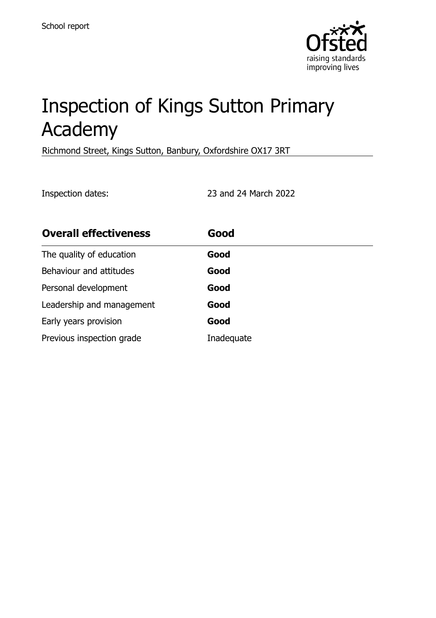

# Inspection of Kings Sutton Primary Academy

Richmond Street, Kings Sutton, Banbury, Oxfordshire OX17 3RT

Inspection dates: 23 and 24 March 2022

| <b>Overall effectiveness</b> | Good       |
|------------------------------|------------|
| The quality of education     | Good       |
| Behaviour and attitudes      | Good       |
| Personal development         | Good       |
| Leadership and management    | Good       |
| Early years provision        | Good       |
| Previous inspection grade    | Inadequate |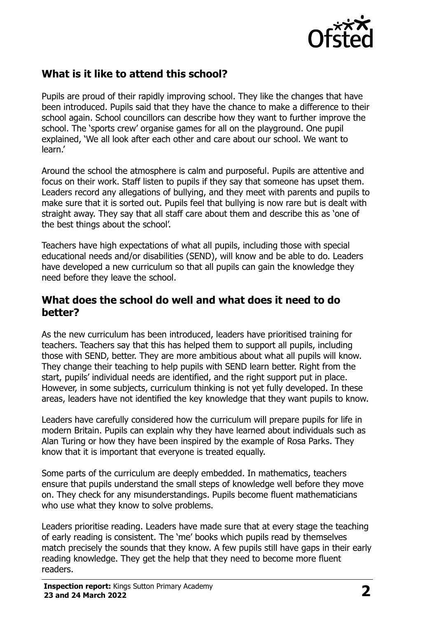

# **What is it like to attend this school?**

Pupils are proud of their rapidly improving school. They like the changes that have been introduced. Pupils said that they have the chance to make a difference to their school again. School councillors can describe how they want to further improve the school. The 'sports crew' organise games for all on the playground. One pupil explained, 'We all look after each other and care about our school. We want to learn.'

Around the school the atmosphere is calm and purposeful. Pupils are attentive and focus on their work. Staff listen to pupils if they say that someone has upset them. Leaders record any allegations of bullying, and they meet with parents and pupils to make sure that it is sorted out. Pupils feel that bullying is now rare but is dealt with straight away. They say that all staff care about them and describe this as 'one of the best things about the school'.

Teachers have high expectations of what all pupils, including those with special educational needs and/or disabilities (SEND), will know and be able to do. Leaders have developed a new curriculum so that all pupils can gain the knowledge they need before they leave the school.

#### **What does the school do well and what does it need to do better?**

As the new curriculum has been introduced, leaders have prioritised training for teachers. Teachers say that this has helped them to support all pupils, including those with SEND, better. They are more ambitious about what all pupils will know. They change their teaching to help pupils with SEND learn better. Right from the start, pupils' individual needs are identified, and the right support put in place. However, in some subjects, curriculum thinking is not yet fully developed. In these areas, leaders have not identified the key knowledge that they want pupils to know.

Leaders have carefully considered how the curriculum will prepare pupils for life in modern Britain. Pupils can explain why they have learned about individuals such as Alan Turing or how they have been inspired by the example of Rosa Parks. They know that it is important that everyone is treated equally.

Some parts of the curriculum are deeply embedded. In mathematics, teachers ensure that pupils understand the small steps of knowledge well before they move on. They check for any misunderstandings. Pupils become fluent mathematicians who use what they know to solve problems.

Leaders prioritise reading. Leaders have made sure that at every stage the teaching of early reading is consistent. The 'me' books which pupils read by themselves match precisely the sounds that they know. A few pupils still have gaps in their early reading knowledge. They get the help that they need to become more fluent readers.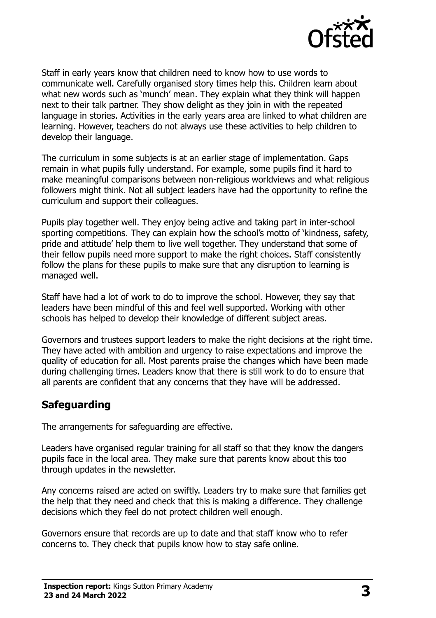

Staff in early years know that children need to know how to use words to communicate well. Carefully organised story times help this. Children learn about what new words such as 'munch' mean. They explain what they think will happen next to their talk partner. They show delight as they join in with the repeated language in stories. Activities in the early years area are linked to what children are learning. However, teachers do not always use these activities to help children to develop their language.

The curriculum in some subjects is at an earlier stage of implementation. Gaps remain in what pupils fully understand. For example, some pupils find it hard to make meaningful comparisons between non-religious worldviews and what religious followers might think. Not all subject leaders have had the opportunity to refine the curriculum and support their colleagues.

Pupils play together well. They enjoy being active and taking part in inter-school sporting competitions. They can explain how the school's motto of 'kindness, safety, pride and attitude' help them to live well together. They understand that some of their fellow pupils need more support to make the right choices. Staff consistently follow the plans for these pupils to make sure that any disruption to learning is managed well.

Staff have had a lot of work to do to improve the school. However, they say that leaders have been mindful of this and feel well supported. Working with other schools has helped to develop their knowledge of different subject areas.

Governors and trustees support leaders to make the right decisions at the right time. They have acted with ambition and urgency to raise expectations and improve the quality of education for all. Most parents praise the changes which have been made during challenging times. Leaders know that there is still work to do to ensure that all parents are confident that any concerns that they have will be addressed.

#### **Safeguarding**

The arrangements for safeguarding are effective.

Leaders have organised regular training for all staff so that they know the dangers pupils face in the local area. They make sure that parents know about this too through updates in the newsletter.

Any concerns raised are acted on swiftly. Leaders try to make sure that families get the help that they need and check that this is making a difference. They challenge decisions which they feel do not protect children well enough.

Governors ensure that records are up to date and that staff know who to refer concerns to. They check that pupils know how to stay safe online.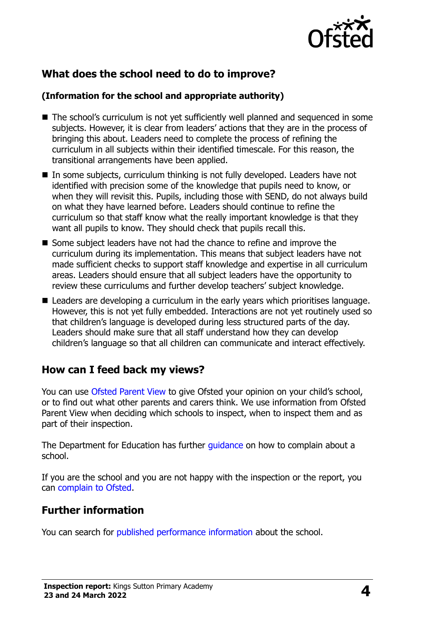

# **What does the school need to do to improve?**

#### **(Information for the school and appropriate authority)**

- The school's curriculum is not yet sufficiently well planned and sequenced in some subjects. However, it is clear from leaders' actions that they are in the process of bringing this about. Leaders need to complete the process of refining the curriculum in all subjects within their identified timescale. For this reason, the transitional arrangements have been applied.
- In some subjects, curriculum thinking is not fully developed. Leaders have not identified with precision some of the knowledge that pupils need to know, or when they will revisit this. Pupils, including those with SEND, do not always build on what they have learned before. Leaders should continue to refine the curriculum so that staff know what the really important knowledge is that they want all pupils to know. They should check that pupils recall this.
- Some subject leaders have not had the chance to refine and improve the curriculum during its implementation. This means that subject leaders have not made sufficient checks to support staff knowledge and expertise in all curriculum areas. Leaders should ensure that all subject leaders have the opportunity to review these curriculums and further develop teachers' subject knowledge.
- Leaders are developing a curriculum in the early years which prioritises language. However, this is not yet fully embedded. Interactions are not yet routinely used so that children's language is developed during less structured parts of the day. Leaders should make sure that all staff understand how they can develop children's language so that all children can communicate and interact effectively.

## **How can I feed back my views?**

You can use [Ofsted Parent View](http://parentview.ofsted.gov.uk/) to give Ofsted your opinion on your child's school, or to find out what other parents and carers think. We use information from Ofsted Parent View when deciding which schools to inspect, when to inspect them and as part of their inspection.

The Department for Education has further [guidance](http://www.gov.uk/complain-about-school) on how to complain about a school.

If you are the school and you are not happy with the inspection or the report, you can [complain to Ofsted.](http://www.gov.uk/complain-ofsted-report)

## **Further information**

You can search for [published performance information](http://www.compare-school-performance.service.gov.uk/) about the school.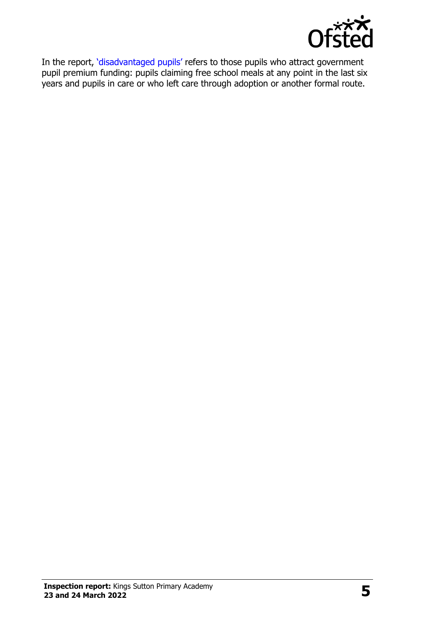

In the report, '[disadvantaged pupils](http://www.gov.uk/guidance/pupil-premium-information-for-schools-and-alternative-provision-settings)' refers to those pupils who attract government pupil premium funding: pupils claiming free school meals at any point in the last six years and pupils in care or who left care through adoption or another formal route.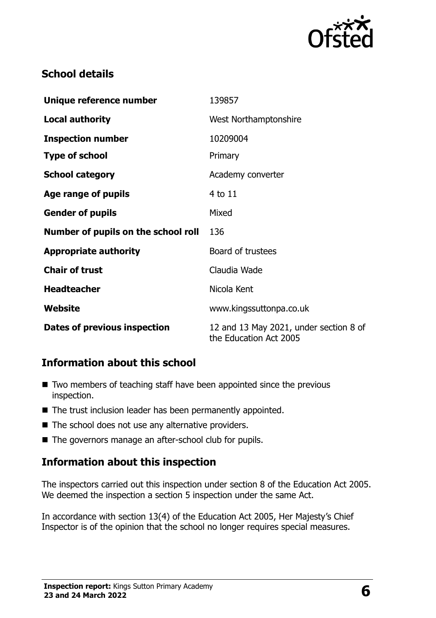

## **School details**

| Unique reference number             | 139857                                                           |
|-------------------------------------|------------------------------------------------------------------|
| <b>Local authority</b>              | West Northamptonshire                                            |
| <b>Inspection number</b>            | 10209004                                                         |
| <b>Type of school</b>               | Primary                                                          |
| <b>School category</b>              | Academy converter                                                |
| Age range of pupils                 | 4 to 11                                                          |
| <b>Gender of pupils</b>             | Mixed                                                            |
| Number of pupils on the school roll | 136                                                              |
| <b>Appropriate authority</b>        | Board of trustees                                                |
| <b>Chair of trust</b>               | Claudia Wade                                                     |
| <b>Headteacher</b>                  | Nicola Kent                                                      |
| Website                             | www.kingssuttonpa.co.uk                                          |
| <b>Dates of previous inspection</b> | 12 and 13 May 2021, under section 8 of<br>the Education Act 2005 |

## **Information about this school**

- $\blacksquare$  Two members of teaching staff have been appointed since the previous inspection.
- The trust inclusion leader has been permanently appointed.
- The school does not use any alternative providers.
- The governors manage an after-school club for pupils.

#### **Information about this inspection**

The inspectors carried out this inspection under section 8 of the Education Act 2005. We deemed the inspection a section 5 inspection under the same Act.

In accordance with section 13(4) of the Education Act 2005, Her Majesty's Chief Inspector is of the opinion that the school no longer requires special measures.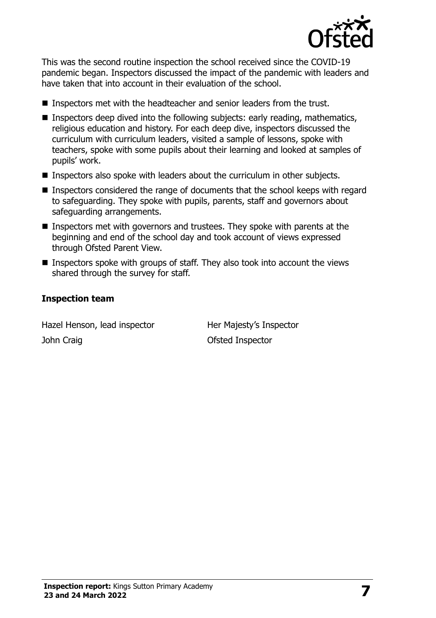

This was the second routine inspection the school received since the COVID-19 pandemic began. Inspectors discussed the impact of the pandemic with leaders and have taken that into account in their evaluation of the school.

- Inspectors met with the headteacher and senior leaders from the trust.
- **Inspectors deep dived into the following subjects: early reading, mathematics,** religious education and history. For each deep dive, inspectors discussed the curriculum with curriculum leaders, visited a sample of lessons, spoke with teachers, spoke with some pupils about their learning and looked at samples of pupils' work.
- **Inspectors also spoke with leaders about the curriculum in other subjects.**
- Inspectors considered the range of documents that the school keeps with regard to safeguarding. They spoke with pupils, parents, staff and governors about safeguarding arrangements.
- Inspectors met with governors and trustees. They spoke with parents at the beginning and end of the school day and took account of views expressed through Ofsted Parent View.
- Inspectors spoke with groups of staff. They also took into account the views shared through the survey for staff.

#### **Inspection team**

Hazel Henson, lead inspector **Her Majesty's Inspector** John Craig **Disk Craig Craig Craig Craig Craig Craig Craig Craig Craig Craig Craig Craig Craig Craig Craig Craig Craig Craig Craig Craig Craig Craig Craig Craig Craig Craig Craig Craig Craig Craig Craig Craig Craig Craig C**